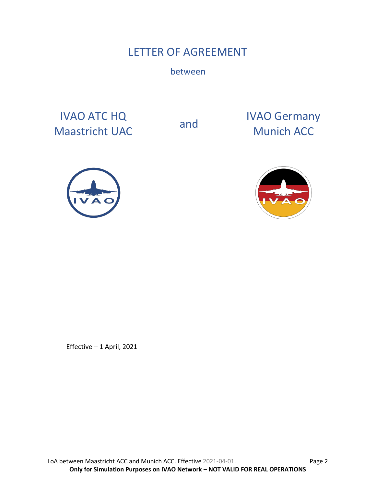# LETTER OF AGREEMENT

between

IVAO ATC HQ IVAO ATC HQ<br>
Maastricht UAC and Munich ACC

Munich ACC





Effective – 1 April, 2021

LoA between Maastricht ACC and Munich ACC. Effective 2021-04-01. Page 2 **Only for Simulation Purposes on IVAO Network – NOT VALID FOR REAL OPERATIONS**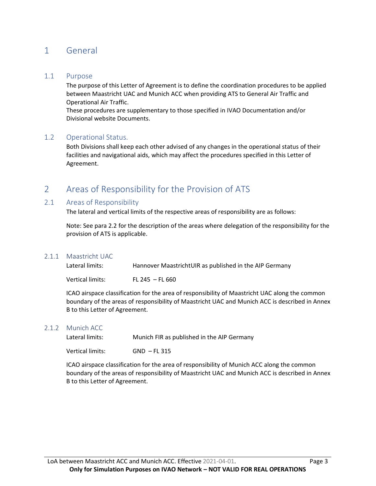# 1 General

#### 1.1 Purpose

The purpose of this Letter of Agreement is to define the coordination procedures to be applied between Maastricht UAC and Munich ACC when providing ATS to General Air Traffic and Operational Air Traffic.

These procedures are supplementary to those specified in IVAO Documentation and/or Divisional website Documents.

#### 1.2 Operational Status.

Both Divisions shall keep each other advised of any changes in the operational status of their facilities and navigational aids, which may affect the procedures specified in this Letter of Agreement.

# 2 Areas of Responsibility for the Provision of ATS

#### 2.1 Areas of Responsibility

The lateral and vertical limits of the respective areas of responsibility are as follows:

Note: See para 2.2 for the description of the areas where delegation of the responsibility for the provision of ATS is applicable.

#### 2.1.1 Maastricht UAC

| Lateral limits:  | Hannover MaastrichtUIR as published in the AIP Germany |
|------------------|--------------------------------------------------------|
| Vertical limits: | FL 245 – FL 660                                        |

ICAO airspace classification for the area of responsibility of Maastricht UAC along the common boundary of the areas of responsibility of Maastricht UAC and Munich ACC is described in Annex B to this Letter of Agreement.

#### 2.1.2 Munich ACC

| Lateral limits: | Munich FIR as published in the AIP Germany |
|-----------------|--------------------------------------------|
|                 |                                            |

Vertical limits: GND – FL 315

ICAO airspace classification for the area of responsibility of Munich ACC along the common boundary of the areas of responsibility of Maastricht UAC and Munich ACC is described in Annex B to this Letter of Agreement.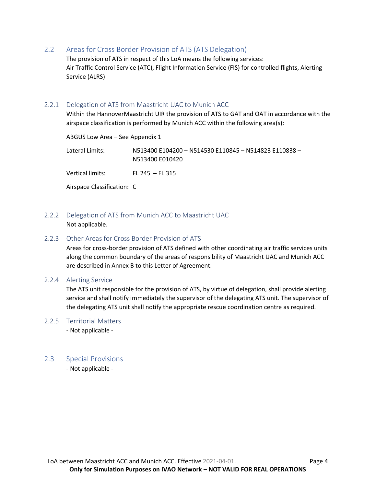2.2 Areas for Cross Border Provision of ATS (ATS Delegation)

The provision of ATS in respect of this LoA means the following services: Air Traffic Control Service (ATC), Flight Information Service (FIS) for controlled flights, Alerting Service (ALRS)

#### 2.2.1 Delegation of ATS from Maastricht UAC to Munich ACC

Within the HannoverMaastricht UIR the provision of ATS to GAT and OAT in accordance with the airspace classification is performed by Munich ACC within the following area(s):

| ABGUS Low Area - See Appendix 1 |                                                                          |
|---------------------------------|--------------------------------------------------------------------------|
| Lateral Limits:                 | N513400 E104200 - N514530 E110845 - N514823 E110838 -<br>N513400 E010420 |
| Vertical limits:                | FL 245 $-$ FL 315                                                        |
| Airspace Classification: C      |                                                                          |

2.2.2 Delegation of ATS from Munich ACC to Maastricht UAC

Not applicable.

#### 2.2.3 Other Areas for Cross Border Provision of ATS

Areas for cross-border provision of ATS defined with other coordinating air traffic services units along the common boundary of the areas of responsibility of Maastricht UAC and Munich ACC are described in Annex B to this Letter of Agreement.

#### 2.2.4 Alerting Service

The ATS unit responsible for the provision of ATS, by virtue of delegation, shall provide alerting service and shall notify immediately the supervisor of the delegating ATS unit. The supervisor of the delegating ATS unit shall notify the appropriate rescue coordination centre as required.

#### 2.2.5 Territorial Matters

- Not applicable -

#### 2.3 Special Provisions

- Not applicable -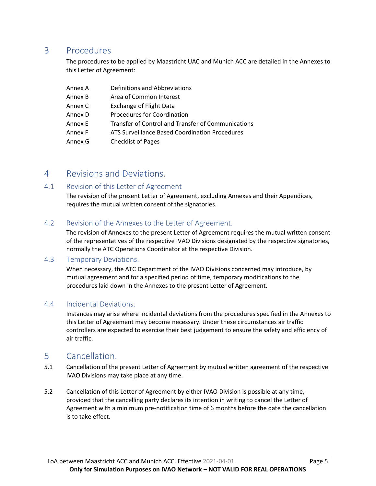# 3 Procedures

The procedures to be applied by Maastricht UAC and Munich ACC are detailed in the Annexes to this Letter of Agreement:

| Annex A | Definitions and Abbreviations                      |
|---------|----------------------------------------------------|
| Annex B | Area of Common Interest                            |
| Annex C | <b>Exchange of Flight Data</b>                     |
| Annex D | Procedures for Coordination                        |
| Annex E | Transfer of Control and Transfer of Communications |
| Annex F | ATS Surveillance Based Coordination Procedures     |
| Annex G | <b>Checklist of Pages</b>                          |

## 4 Revisions and Deviations.

### 4.1 Revision of this Letter of Agreement

The revision of the present Letter of Agreement, excluding Annexes and their Appendices, requires the mutual written consent of the signatories.

### 4.2 Revision of the Annexes to the Letter of Agreement.

The revision of Annexes to the present Letter of Agreement requires the mutual written consent of the representatives of the respective IVAO Divisions designated by the respective signatories, normally the ATC Operations Coordinator at the respective Division.

### 4.3 Temporary Deviations.

When necessary, the ATC Department of the IVAO Divisions concerned may introduce, by mutual agreement and for a specified period of time, temporary modifications to the procedures laid down in the Annexes to the present Letter of Agreement.

### 4.4 Incidental Deviations.

Instances may arise where incidental deviations from the procedures specified in the Annexes to this Letter of Agreement may become necessary. Under these circumstances air traffic controllers are expected to exercise their best judgement to ensure the safety and efficiency of air traffic.

## 5 Cancellation.

- 5.1 Cancellation of the present Letter of Agreement by mutual written agreement of the respective IVAO Divisions may take place at any time.
- 5.2 Cancellation of this Letter of Agreement by either IVAO Division is possible at any time, provided that the cancelling party declares its intention in writing to cancel the Letter of Agreement with a minimum pre-notification time of 6 months before the date the cancellation is to take effect.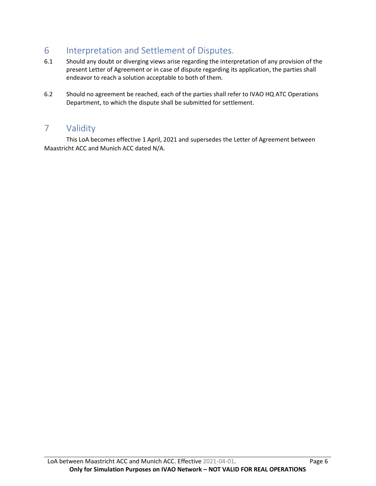# 6 Interpretation and Settlement of Disputes.

- 6.1 Should any doubt or diverging views arise regarding the interpretation of any provision of the present Letter of Agreement or in case of dispute regarding its application, the parties shall endeavor to reach a solution acceptable to both of them.
- 6.2 Should no agreement be reached, each of the parties shall refer to IVAO HQ ATC Operations Department, to which the dispute shall be submitted for settlement.

# 7 Validity

This LoA becomes effective 1 April, 2021 and supersedes the Letter of Agreement between Maastricht ACC and Munich ACC dated N/A.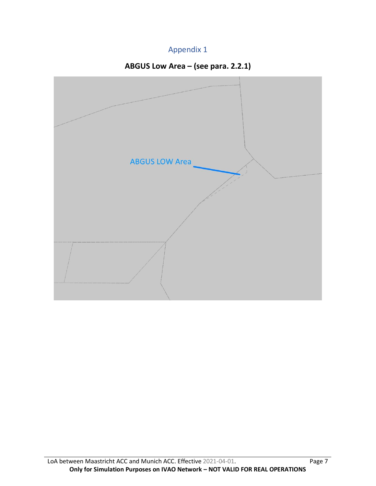# Appendix 1



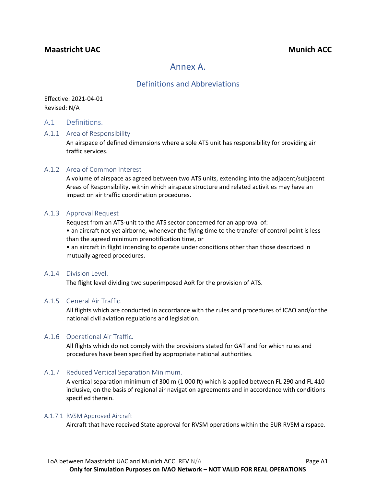### **Maastricht UAC Munich ACC**

# Annex A.

### Definitions and Abbreviations

Effective: 2021-04-01 Revised: N/A

#### A.1 Definitions.

#### A.1.1 Area of Responsibility

An airspace of defined dimensions where a sole ATS unit has responsibility for providing air traffic services.

#### A.1.2 Area of Common Interest

A volume of airspace as agreed between two ATS units, extending into the adjacent/subjacent Areas of Responsibility, within which airspace structure and related activities may have an impact on air traffic coordination procedures.

#### A.1.3 Approval Request

Request from an ATS-unit to the ATS sector concerned for an approval of:

• an aircraft not yet airborne, whenever the flying time to the transfer of control point is less than the agreed minimum prenotification time, or

• an aircraft in flight intending to operate under conditions other than those described in mutually agreed procedures.

#### A.1.4 Division Level.

The flight level dividing two superimposed AoR for the provision of ATS.

#### A.1.5 General Air Traffic.

All flights which are conducted in accordance with the rules and procedures of ICAO and/or the national civil aviation regulations and legislation.

#### A.1.6 Operational Air Traffic.

All flights which do not comply with the provisions stated for GAT and for which rules and procedures have been specified by appropriate national authorities.

#### A.1.7 Reduced Vertical Separation Minimum.

A vertical separation minimum of 300 m (1 000 ft) which is applied between FL 290 and FL 410 inclusive, on the basis of regional air navigation agreements and in accordance with conditions specified therein.

#### A.1.7.1 RVSM Approved Aircraft

Aircraft that have received State approval for RVSM operations within the EUR RVSM airspace.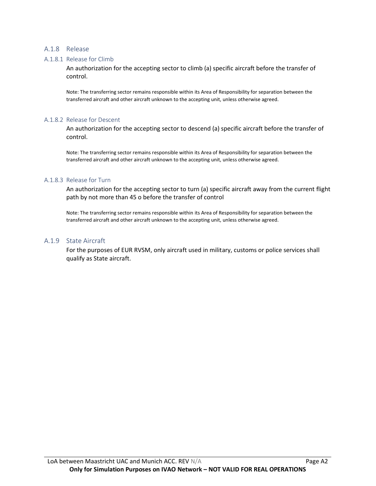#### A.1.8 Release

#### A.1.8.1 Release for Climb

An authorization for the accepting sector to climb (a) specific aircraft before the transfer of control.

Note: The transferring sector remains responsible within its Area of Responsibility for separation between the transferred aircraft and other aircraft unknown to the accepting unit, unless otherwise agreed.

#### A.1.8.2 Release for Descent

An authorization for the accepting sector to descend (a) specific aircraft before the transfer of control.

Note: The transferring sector remains responsible within its Area of Responsibility for separation between the transferred aircraft and other aircraft unknown to the accepting unit, unless otherwise agreed.

#### A.1.8.3 Release for Turn

An authorization for the accepting sector to turn (a) specific aircraft away from the current flight path by not more than 45 o before the transfer of control

Note: The transferring sector remains responsible within its Area of Responsibility for separation between the transferred aircraft and other aircraft unknown to the accepting unit, unless otherwise agreed.

#### A.1.9 State Aircraft

For the purposes of EUR RVSM, only aircraft used in military, customs or police services shall qualify as State aircraft.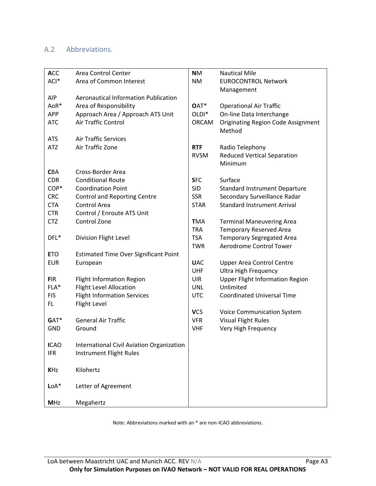## A.2 Abbreviations.

| <b>ACC</b>  | Area Control Center                          | <b>NM</b>         | <b>Nautical Mile</b>                      |
|-------------|----------------------------------------------|-------------------|-------------------------------------------|
| ACI*        | Area of Common Interest                      | <b>NM</b>         | <b>EUROCONTROL Network</b>                |
|             |                                              |                   | Management                                |
| <b>AIP</b>  | <b>Aeronautical Information Publication</b>  |                   |                                           |
| AoR*        | Area of Responsibility                       | OAT*              | <b>Operational Air Traffic</b>            |
| <b>APP</b>  | Approach Area / Approach ATS Unit            | OLDI <sup>*</sup> | On-line Data Interchange                  |
| <b>ATC</b>  | Air Traffic Control                          | <b>ORCAM</b>      | <b>Originating Region Code Assignment</b> |
|             |                                              |                   | Method                                    |
| <b>ATS</b>  | <b>Air Traffic Services</b>                  |                   |                                           |
| <b>ATZ</b>  | Air Traffic Zone                             | <b>RTF</b>        | Radio Telephony                           |
|             |                                              | <b>RVSM</b>       | <b>Reduced Vertical Separation</b>        |
|             |                                              |                   | Minimum                                   |
| <b>CBA</b>  | Cross-Border Area                            |                   |                                           |
| <b>CDR</b>  | <b>Conditional Route</b>                     | <b>SFC</b>        | Surface                                   |
| COP*        | <b>Coordination Point</b>                    | <b>SID</b>        | <b>Standard Instrument Departure</b>      |
| <b>CRC</b>  | <b>Control and Reporting Centre</b>          | <b>SSR</b>        | Secondary Surveillance Radar              |
| <b>CTA</b>  | Control Area                                 | <b>STAR</b>       | <b>Standard Instrument Arrival</b>        |
| <b>CTR</b>  | Control / Enroute ATS Unit                   |                   |                                           |
| <b>CTZ</b>  | Control Zone                                 | <b>TMA</b>        | <b>Terminal Maneuvering Area</b>          |
|             |                                              | <b>TRA</b>        | <b>Temporary Reserved Area</b>            |
| DFL*        | Division Flight Level                        | <b>TSA</b>        | <b>Temporary Segregated Area</b>          |
|             |                                              | <b>TWR</b>        | Aerodrome Control Tower                   |
| <b>ETO</b>  | <b>Estimated Time Over Significant Point</b> |                   |                                           |
| <b>EUR</b>  | European                                     | <b>UAC</b>        | <b>Upper Area Control Centre</b>          |
|             |                                              | UHF               | <b>Ultra High Frequency</b>               |
| <b>FIR</b>  | <b>Flight Information Region</b>             | <b>UIR</b>        | <b>Upper Flight Information Region</b>    |
| FLA*        | <b>Flight Level Allocation</b>               | <b>UNL</b>        | Unlimited                                 |
| <b>FIS</b>  | <b>Flight Information Services</b>           | <b>UTC</b>        | <b>Coordinated Universal Time</b>         |
| FL.         | Flight Level                                 |                   |                                           |
|             |                                              | <b>VCS</b>        | <b>Voice Communication System</b>         |
| GAT*        | <b>General Air Traffic</b>                   | <b>VFR</b>        | <b>Visual Flight Rules</b>                |
| <b>GND</b>  | Ground                                       | <b>VHF</b>        | Very High Frequency                       |
|             |                                              |                   |                                           |
| <b>ICAO</b> | International Civil Aviation Organization    |                   |                                           |
| <b>IFR</b>  | Instrument Flight Rules                      |                   |                                           |
|             |                                              |                   |                                           |
| <b>KHz</b>  | Kilohertz                                    |                   |                                           |
|             |                                              |                   |                                           |
| $LoA*$      | Letter of Agreement                          |                   |                                           |
|             |                                              |                   |                                           |
| <b>MHz</b>  | Megahertz                                    |                   |                                           |

Note: Abbreviations marked with an \* are non-ICAO abbreviations.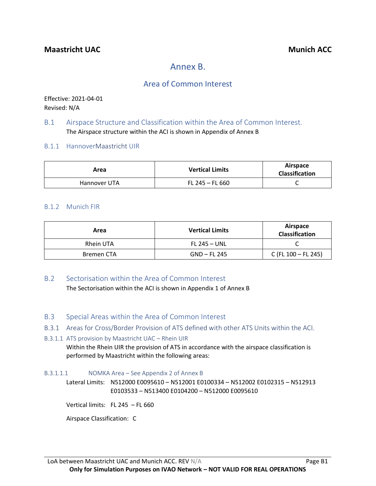# Annex B.

# Area of Common Interest

Effective: 2021-04-01 Revised: N/A

### B.1 Airspace Structure and Classification within the Area of Common Interest. The Airspace structure within the ACI is shown in Appendix of Annex B

### B.1.1 HannoverMaastricht UIR

| Area         | <b>Vertical Limits</b> | Airspace<br><b>Classification</b> |
|--------------|------------------------|-----------------------------------|
| Hannover UTA | $FL 245 - FL 660$      |                                   |

#### B.1.2 Munich FIR

| Area       | <b>Vertical Limits</b> | Airspace<br><b>Classification</b> |
|------------|------------------------|-----------------------------------|
| Rhein UTA  | <b>FL 245 – UNL</b>    |                                   |
| Bremen CTA | $GND$ – FL 245         | C (FL $100 - FL 245$ )            |

### B.2 Sectorisation within the Area of Common Interest

The Sectorisation within the ACI is shown in Appendix 1 of Annex B

### B.3 Special Areas within the Area of Common Interest

B.3.1 Areas for Cross/Border Provision of ATS defined with other ATS Units within the ACI.

#### B.3.1.1 ATS provision by Maastricht UAC – Rhein UIR

Within the Rhein UIR the provision of ATS in accordance with the airspace classification is performed by Maastricht within the following areas:

#### B.3.1.1.1 NOMKA Area – See Appendix 2 of Annex B

Lateral Limits: N512000 E0095610 – N512001 E0100334 – N512002 E0102315 – N512913 E0103533 – N513400 E0104200 – N512000 E0095610

Vertical limits: FL 245 – FL 660

Airspace Classification: C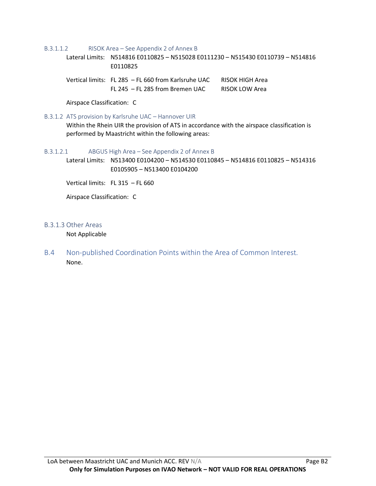B.3.1.1.2 RISOK Area – See Appendix 2 of Annex B

Lateral Limits: N514816 E0110825 – N515028 E0111230 – N515430 E0110739 – N514816 E0110825

Vertical limits: FL 285 - FL 660 from Karlsruhe UAC RISOK HIGH Area FL 245 – FL 285 from Bremen UAC RISOK LOW Area

Airspace Classification: C

#### B.3.1.2 ATS provision by Karlsruhe UAC – Hannover UIR

Within the Rhein UIR the provision of ATS in accordance with the airspace classification is performed by Maastricht within the following areas:

#### B.3.1.2.1 ABGUS High Area – See Appendix 2 of Annex B

Lateral Limits: N513400 E0104200 – N514530 E0110845 – N514816 E0110825 – N514316 E0105905 – N513400 E0104200

Vertical limits: FL 315 – FL 660

Airspace Classification: C

#### B.3.1.3 Other Areas

Not Applicable

B.4 Non-published Coordination Points within the Area of Common Interest. None.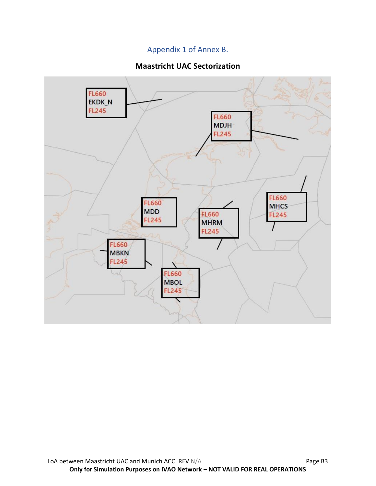# Appendix 1 of Annex B.

# **Maastricht UAC Sectorization**

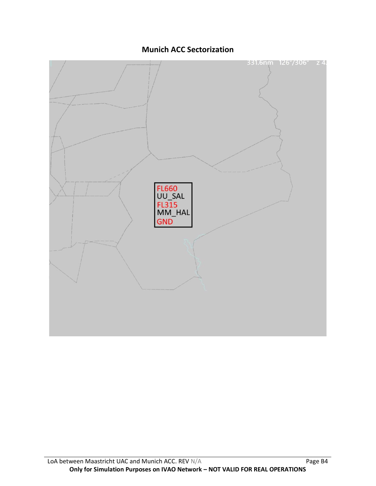**Munich ACC Sectorization**

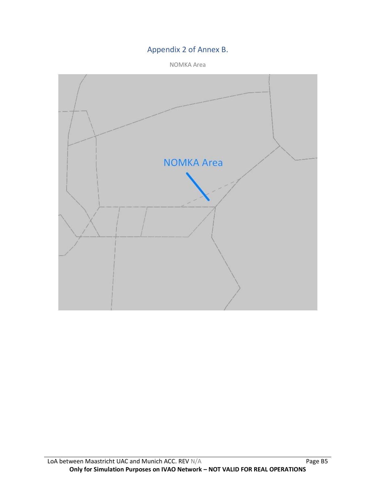# Appendix 2 of Annex B.

NOMKA Area

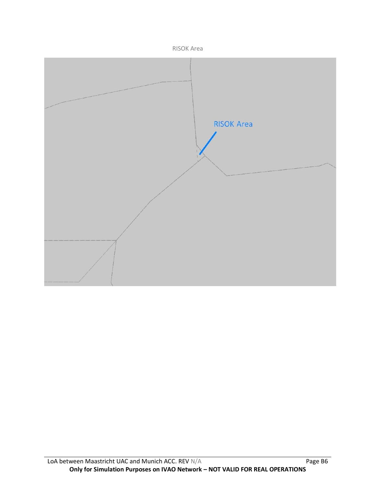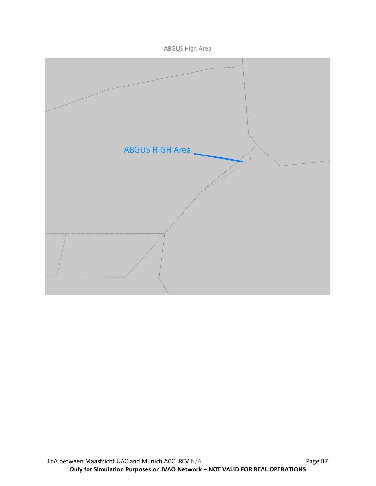ABGUS High Area

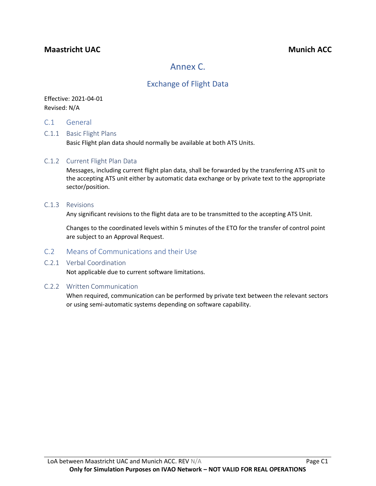## **Maastricht UAC Munich ACC**

# Annex C.

# Exchange of Flight Data

### Effective: 2021-04-01 Revised: N/A

C.1 General

### C.1.1 Basic Flight Plans

Basic Flight plan data should normally be available at both ATS Units.

#### C.1.2 Current Flight Plan Data

Messages, including current flight plan data, shall be forwarded by the transferring ATS unit to the accepting ATS unit either by automatic data exchange or by private text to the appropriate sector/position.

#### C.1.3 Revisions

Any significant revisions to the flight data are to be transmitted to the accepting ATS Unit.

Changes to the coordinated levels within 5 minutes of the ETO for the transfer of control point are subject to an Approval Request.

### C.2 Means of Communications and their Use

#### C.2.1 Verbal Coordination

Not applicable due to current software limitations.

#### C.2.2 Written Communication

When required, communication can be performed by private text between the relevant sectors or using semi-automatic systems depending on software capability.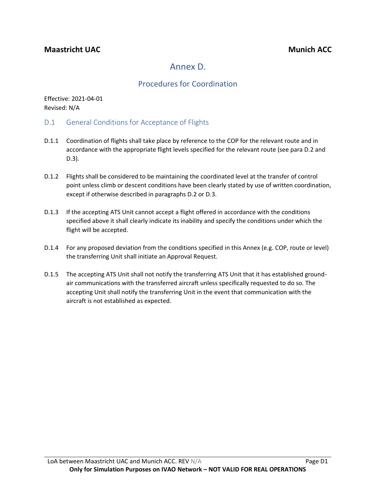# Annex D.

# Procedures for Coordination

Effective: 2021-04-01 Revised: N/A

- D.1 General Conditions for Acceptance of Flights
- D.1.1 Coordination of flights shall take place by reference to the COP for the relevant route and in accordance with the appropriate flight levels specified for the relevant route (see para D.2 and D.3).
- D.1.2 Flights shall be considered to be maintaining the coordinated level at the transfer of control point unless climb or descent conditions have been clearly stated by use of written coordination, except if otherwise described in paragraphs D.2 or D.3.
- D.1.3 If the accepting ATS Unit cannot accept a flight offered in accordance with the conditions specified above it shall clearly indicate its inability and specify the conditions under which the flight will be accepted.
- D.1.4 For any proposed deviation from the conditions specified in this Annex (e.g. COP, route or level) the transferring Unit shall initiate an Approval Request.
- D.1.5 The accepting ATS Unit shall not notify the transferring ATS Unit that it has established groundair communications with the transferred aircraft unless specifically requested to do so. The accepting Unit shall notify the transferring Unit in the event that communication with the aircraft is not established as expected.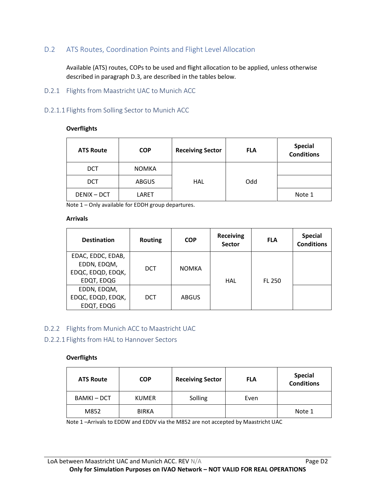### D.2 ATS Routes, Coordination Points and Flight Level Allocation

Available (ATS) routes, COPs to be used and flight allocation to be applied, unless otherwise described in paragraph D.3, are described in the tables below.

#### D.2.1 Flights from Maastricht UAC to Munich ACC

#### D.2.1.1 Flights from Solling Sector to Munich ACC

#### **Overflights**

| <b>ATS Route</b>   | <b>COP</b>   | <b>Receiving Sector</b> | <b>FLA</b> | <b>Special</b><br><b>Conditions</b> |
|--------------------|--------------|-------------------------|------------|-------------------------------------|
| <b>DCT</b>         | <b>NOMKA</b> |                         |            |                                     |
| <b>DCT</b>         | <b>ABGUS</b> | HAL                     | Odd        |                                     |
| <b>DENIX - DCT</b> | LARET        |                         |            | Note 1                              |

Note 1 – Only available for EDDH group departures.

#### **Arrivals**

| <b>Destination</b>                                                  | <b>Routing</b> | <b>COP</b>   | <b>Receiving</b><br>Sector | <b>FLA</b>    | <b>Special</b><br><b>Conditions</b> |
|---------------------------------------------------------------------|----------------|--------------|----------------------------|---------------|-------------------------------------|
| EDAC, EDDC, EDAB,<br>EDDN, EDQM,<br>EDQC, EDQD, EDQK,<br>EDQT, EDQG | <b>DCT</b>     | <b>NOMKA</b> | HAL                        | <b>FL 250</b> |                                     |
| EDDN, EDQM,<br>EDQC, EDQD, EDQK,<br>EDQT, EDQG                      | <b>DCT</b>     | <b>ABGUS</b> |                            |               |                                     |

D.2.2 Flights from Munich ACC to Maastricht UAC

#### D.2.2.1 Flights from HAL to Hannover Sectors

#### **Overflights**

| <b>ATS Route</b> | <b>COP</b>   | <b>Receiving Sector</b> | <b>FLA</b> | <b>Special</b><br><b>Conditions</b> |
|------------------|--------------|-------------------------|------------|-------------------------------------|
| <b>BAMKI-DCT</b> | <b>KUMER</b> | Solling                 | Even       |                                     |
| M852             | <b>BIRKA</b> |                         |            | Note 1                              |

Note 1 –Arrivals to EDDW and EDDV via the M852 are not accepted by Maastricht UAC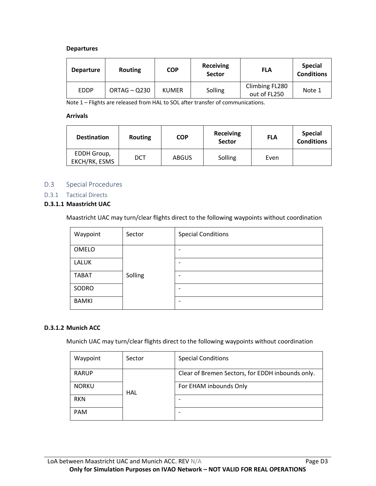#### **Departures**

| <b>Departure</b> | <b>Routing</b> | <b>COP</b>   | <b>Receiving</b><br><b>Sector</b> | <b>FLA</b>                     | <b>Special</b><br><b>Conditions</b> |
|------------------|----------------|--------------|-----------------------------------|--------------------------------|-------------------------------------|
| <b>EDDP</b>      | ORTAG - Q230   | <b>KUMER</b> | Solling                           | Climbing FL280<br>out of FL250 | Note 1                              |

Note 1 – Flights are released from HAL to SOL after transfer of communications.

#### **Arrivals**

| <b>Destination</b>           | <b>Routing</b> | <b>COP</b>   | Receiving<br><b>Sector</b> | <b>FLA</b> | <b>Special</b><br><b>Conditions</b> |
|------------------------------|----------------|--------------|----------------------------|------------|-------------------------------------|
| EDDH Group,<br>EKCH/RK, ESMS | <b>DCT</b>     | <b>ABGUS</b> | Solling                    | Even       |                                     |

#### D.3 Special Procedures

D.3.1 Tactical Directs

#### **D.3.1.1 Maastricht UAC**

Maastricht UAC may turn/clear flights direct to the following waypoints without coordination

| Waypoint     | Sector  | <b>Special Conditions</b> |
|--------------|---------|---------------------------|
| OMELO        |         | $\overline{\phantom{a}}$  |
| <b>LALUK</b> |         | $\overline{\phantom{a}}$  |
| <b>TABAT</b> | Solling | $\overline{\phantom{a}}$  |
| SODRO        |         | $\overline{\phantom{a}}$  |
| <b>BAMKI</b> |         | $\overline{\phantom{a}}$  |

#### **D.3.1.2 Munich ACC**

Munich UAC may turn/clear flights direct to the following waypoints without coordination

| Waypoint     | Sector | <b>Special Conditions</b>                        |
|--------------|--------|--------------------------------------------------|
| <b>RARUP</b> | HAL    | Clear of Bremen Sectors, for EDDH inbounds only. |
| <b>NORKU</b> |        | For EHAM inbounds Only                           |
| <b>RKN</b>   |        |                                                  |
| <b>PAM</b>   |        | -                                                |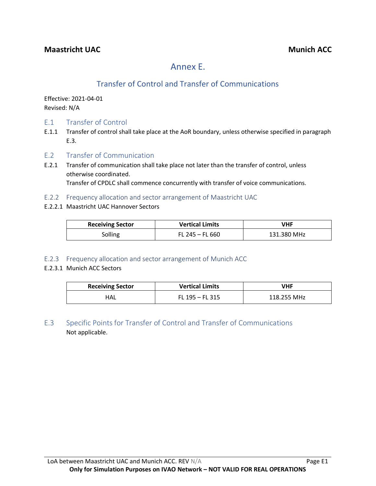# Annex E.

# Transfer of Control and Transfer of Communications

Effective: 2021-04-01 Revised: N/A

- E.1 Transfer of Control
- E.1.1 Transfer of control shall take place at the AoR boundary, unless otherwise specified in paragraph E.3.
- E.2 Transfer of Communication
- E.2.1 Transfer of communication shall take place not later than the transfer of control, unless otherwise coordinated. Transfer of CPDLC shall commence concurrently with transfer of voice communications.
- E.2.2 Frequency allocation and sector arrangement of Maastricht UAC
- E.2.2.1 Maastricht UAC Hannover Sectors

| <b>Receiving Sector</b> | <b>Vertical Limits</b> | VHF         |
|-------------------------|------------------------|-------------|
| Solling                 | FL 245 $-$ FL 660      | 131.380 MHz |

- E.2.3 Frequency allocation and sector arrangement of Munich ACC
- E.2.3.1 Munich ACC Sectors

| <b>Receiving Sector</b> | <b>Vertical Limits</b> | <b>VHF</b>  |
|-------------------------|------------------------|-------------|
| HAL                     | FL $195 - F$ L $315$   | 118.255 MHz |

E.3 Specific Points for Transfer of Control and Transfer of Communications Not applicable.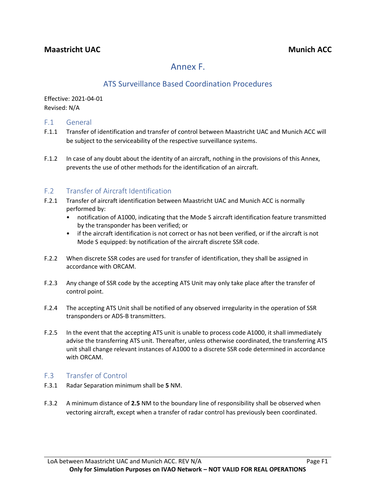# Annex F.

# ATS Surveillance Based Coordination Procedures

Effective: 2021-04-01 Revised: N/A

### F.1 General

- F.1.1 Transfer of identification and transfer of control between Maastricht UAC and Munich ACC will be subject to the serviceability of the respective surveillance systems.
- F.1.2 In case of any doubt about the identity of an aircraft, nothing in the provisions of this Annex, prevents the use of other methods for the identification of an aircraft.

## F.2 Transfer of Aircraft Identification

- F.2.1 Transfer of aircraft identification between Maastricht UAC and Munich ACC is normally performed by:
	- notification of A1000, indicating that the Mode S aircraft identification feature transmitted by the transponder has been verified; or
	- if the aircraft identification is not correct or has not been verified, or if the aircraft is not Mode S equipped: by notification of the aircraft discrete SSR code.
- F.2.2 When discrete SSR codes are used for transfer of identification, they shall be assigned in accordance with ORCAM.
- F.2.3 Any change of SSR code by the accepting ATS Unit may only take place after the transfer of control point.
- F.2.4 The accepting ATS Unit shall be notified of any observed irregularity in the operation of SSR transponders or ADS-B transmitters.
- F.2.5 In the event that the accepting ATS unit is unable to process code A1000, it shall immediately advise the transferring ATS unit. Thereafter, unless otherwise coordinated, the transferring ATS unit shall change relevant instances of A1000 to a discrete SSR code determined in accordance with ORCAM.

### F.3 Transfer of Control

- F.3.1 Radar Separation minimum shall be **5** NM.
- F.3.2 A minimum distance of **2.5** NM to the boundary line of responsibility shall be observed when vectoring aircraft, except when a transfer of radar control has previously been coordinated.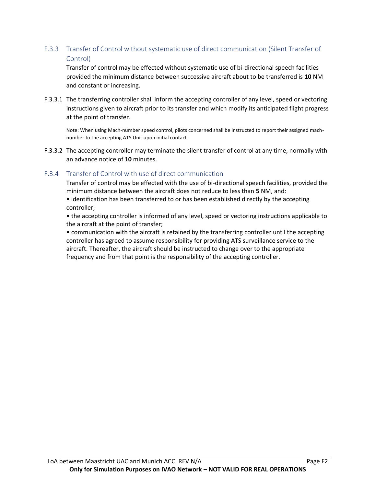### F.3.3 Transfer of Control without systematic use of direct communication (Silent Transfer of Control)

Transfer of control may be effected without systematic use of bi-directional speech facilities provided the minimum distance between successive aircraft about to be transferred is **10** NM and constant or increasing.

F.3.3.1 The transferring controller shall inform the accepting controller of any level, speed or vectoring instructions given to aircraft prior to its transfer and which modify its anticipated flight progress at the point of transfer.

Note: When using Mach-number speed control, pilots concerned shall be instructed to report their assigned machnumber to the accepting ATS Unit upon initial contact.

F.3.3.2 The accepting controller may terminate the silent transfer of control at any time, normally with an advance notice of **10** minutes.

### F.3.4 Transfer of Control with use of direct communication

Transfer of control may be effected with the use of bi-directional speech facilities, provided the minimum distance between the aircraft does not reduce to less than **5** NM, and:

• identification has been transferred to or has been established directly by the accepting controller;

• the accepting controller is informed of any level, speed or vectoring instructions applicable to the aircraft at the point of transfer;

• communication with the aircraft is retained by the transferring controller until the accepting controller has agreed to assume responsibility for providing ATS surveillance service to the aircraft. Thereafter, the aircraft should be instructed to change over to the appropriate frequency and from that point is the responsibility of the accepting controller.